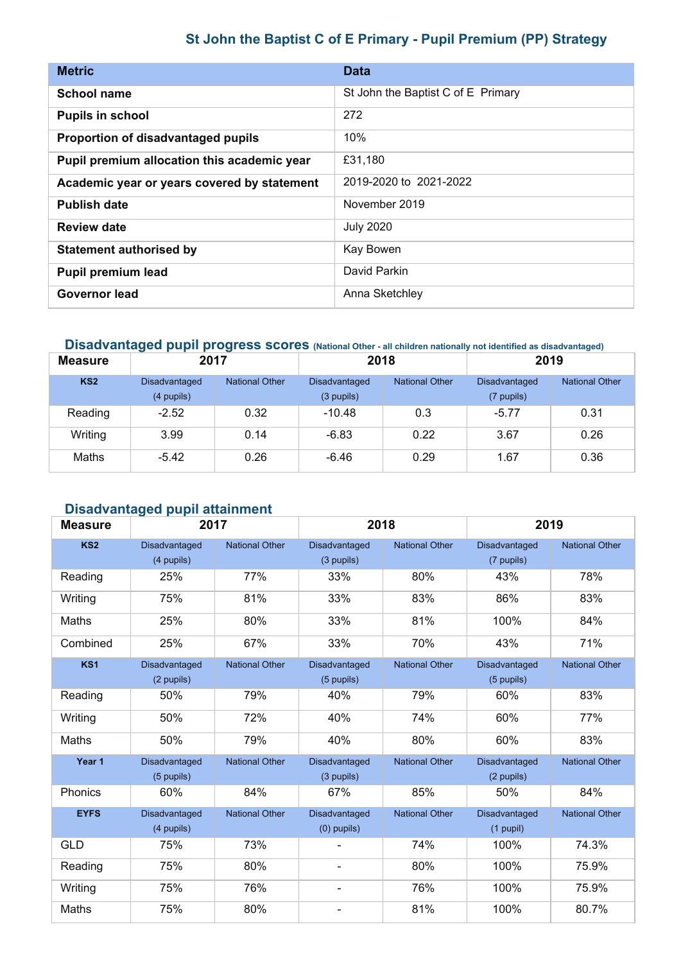# **St John the Baptist C of E Primary - Pupil Premium (PP) Strategy**

| <b>Metric</b>                               | <b>Data</b>                        |
|---------------------------------------------|------------------------------------|
| School name                                 | St John the Baptist C of E Primary |
| <b>Pupils in school</b>                     | 272                                |
| Proportion of disadvantaged pupils          | 10%                                |
| Pupil premium allocation this academic year | £31,180                            |
| Academic year or years covered by statement | 2019-2020 to 2021-2022             |
| <b>Publish date</b>                         | November 2019                      |
| <b>Review date</b>                          | <b>July 2020</b>                   |
| <b>Statement authorised by</b>              | Kay Bowen                          |
| <b>Pupil premium lead</b>                   | David Parkin                       |
| <b>Governor lead</b>                        | Anna Sketchley                     |

#### **Disadvantaged pupil progress scores (National Other - all children nationally not identified as disadvantaged)**

| <b>Measure</b>  | 2017                        |                       | 2018                        |                       | 2019                        |                       |
|-----------------|-----------------------------|-----------------------|-----------------------------|-----------------------|-----------------------------|-----------------------|
| KS <sub>2</sub> | Disadvantaged<br>(4 pupils) | <b>National Other</b> | Disadvantaged<br>(3 pupils) | <b>National Other</b> | Disadvantaged<br>(7 pupils) | <b>National Other</b> |
| Reading         | $-2.52$                     | 0.32                  | $-10.48$                    | 0.3                   | $-5.77$                     | 0.31                  |
| Writing         | 3.99                        | 0.14                  | $-6.83$                     | 0.22                  | 3.67                        | 0.26                  |
| Maths           | $-5.42$                     | 0.26                  | $-6.46$                     | 0.29                  | 1.67                        | 0.36                  |

#### **Disadvantaged pupil attainment**

| <b>Measure</b>  | 2017                        |                       | 2018                           |                       | 2019                         |                       |
|-----------------|-----------------------------|-----------------------|--------------------------------|-----------------------|------------------------------|-----------------------|
| KS <sub>2</sub> | Disadvantaged<br>(4 pupils) | <b>National Other</b> | Disadvantaged<br>(3 pupils)    | <b>National Other</b> | Disadvantaged<br>(7 pupils)  | <b>National Other</b> |
| Reading         | 25%                         | 77%                   | 33%                            | 80%                   | 43%                          | 78%                   |
| Writing         | 75%                         | 81%                   | 33%                            | 83%                   | 86%                          | 83%                   |
| Maths           | 25%                         | 80%                   | 33%                            | 81%                   | 100%                         | 84%                   |
| Combined        | 25%                         | 67%                   | 33%                            | 70%                   | 43%                          | 71%                   |
| KS <sub>1</sub> | Disadvantaged<br>(2 pupils) | <b>National Other</b> | Disadvantaged<br>(5 pupils)    | <b>National Other</b> | Disadvantaged<br>(5 pupils)  | <b>National Other</b> |
| Reading         | 50%                         | 79%                   | 40%                            | 79%                   | 60%                          | 83%                   |
| Writing         | 50%                         | 72%                   | 40%                            | 74%                   | 60%                          | 77%                   |
| Maths           | 50%                         | 79%                   | 40%                            | 80%                   | 60%                          | 83%                   |
| Year 1          | Disadvantaged<br>(5 pupils) | <b>National Other</b> | Disadvantaged<br>(3 pupils)    | <b>National Other</b> | Disadvantaged<br>(2 pupils)  | <b>National Other</b> |
| Phonics         | 60%                         | 84%                   | 67%                            | 85%                   | 50%                          | 84%                   |
| <b>EYFS</b>     | Disadvantaged<br>(4 pupils) | <b>National Other</b> | Disadvantaged<br>$(0)$ pupils) | <b>National Other</b> | Disadvantaged<br>$(1$ pupil) | <b>National Other</b> |
| <b>GLD</b>      | 75%                         | 73%                   |                                | 74%                   | 100%                         | 74.3%                 |
| Reading         | 75%                         | 80%                   | $\overline{\phantom{a}}$       | 80%                   | 100%                         | 75.9%                 |
| Writing         | 75%                         | 76%                   | $\overline{\phantom{a}}$       | 76%                   | 100%                         | 75.9%                 |
| Maths           | 75%                         | 80%                   |                                | 81%                   | 100%                         | 80.7%                 |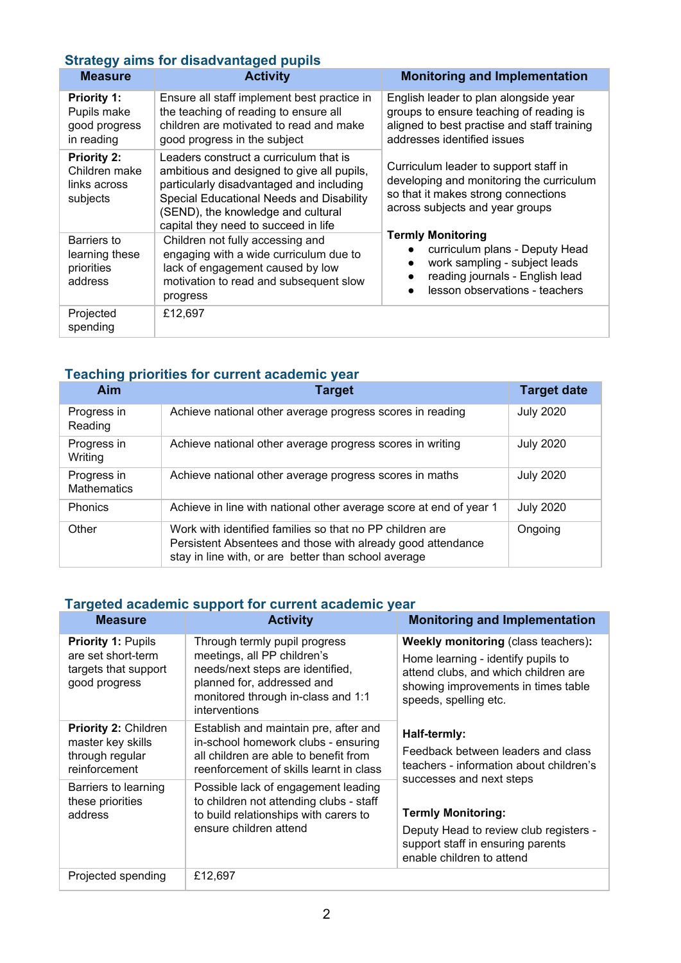# **Strategy aims for disadvantaged pupils**

| <b>Measure</b>                                                   | <b>Activity</b>                                                                                                                                                                                                                                            | <b>Monitoring and Implementation</b>                                                                                                                             |  |  |
|------------------------------------------------------------------|------------------------------------------------------------------------------------------------------------------------------------------------------------------------------------------------------------------------------------------------------------|------------------------------------------------------------------------------------------------------------------------------------------------------------------|--|--|
| <b>Priority 1:</b><br>Pupils make<br>good progress<br>in reading | Ensure all staff implement best practice in<br>the teaching of reading to ensure all<br>children are motivated to read and make<br>good progress in the subject                                                                                            | English leader to plan alongside year<br>groups to ensure teaching of reading is<br>aligned to best practise and staff training<br>addresses identified issues   |  |  |
| <b>Priority 2:</b><br>Children make<br>links across<br>subjects  | Leaders construct a curriculum that is<br>ambitious and designed to give all pupils,<br>particularly disadvantaged and including<br>Special Educational Needs and Disability<br>(SEND), the knowledge and cultural<br>capital they need to succeed in life | Curriculum leader to support staff in<br>developing and monitoring the curriculum<br>so that it makes strong connections<br>across subjects and year groups      |  |  |
| Barriers to<br>learning these<br>priorities<br>address           | Children not fully accessing and<br>engaging with a wide curriculum due to<br>lack of engagement caused by low<br>motivation to read and subsequent slow<br>progress                                                                                       | <b>Termly Monitoring</b><br>curriculum plans - Deputy Head<br>work sampling - subject leads<br>reading journals - English lead<br>lesson observations - teachers |  |  |
| Projected<br>spending                                            | £12.697                                                                                                                                                                                                                                                    |                                                                                                                                                                  |  |  |

# **Teaching priorities for current academic year**

| Aim                               | <b>Target</b>                                                                                                                                                                   | <b>Target date</b> |
|-----------------------------------|---------------------------------------------------------------------------------------------------------------------------------------------------------------------------------|--------------------|
| Progress in<br>Reading            | Achieve national other average progress scores in reading                                                                                                                       | <b>July 2020</b>   |
| Progress in<br>Writing            | Achieve national other average progress scores in writing                                                                                                                       | <b>July 2020</b>   |
| Progress in<br><b>Mathematics</b> | Achieve national other average progress scores in maths                                                                                                                         | <b>July 2020</b>   |
| <b>Phonics</b>                    | Achieve in line with national other average score at end of year 1                                                                                                              | <b>July 2020</b>   |
| Other                             | Work with identified families so that no PP children are<br>Persistent Absentees and those with already good attendance<br>stay in line with, or are better than school average | Ongoing            |

### **Targeted academic support for current academic year**

| <b>Measure</b>                                                                           | <b>Activity</b>                                                                                                                                                                       | <b>Monitoring and Implementation</b>                                                                                                                                                     |  |
|------------------------------------------------------------------------------------------|---------------------------------------------------------------------------------------------------------------------------------------------------------------------------------------|------------------------------------------------------------------------------------------------------------------------------------------------------------------------------------------|--|
| <b>Priority 1: Pupils</b><br>are set short-term<br>targets that support<br>good progress | Through termly pupil progress<br>meetings, all PP children's<br>needs/next steps are identified,<br>planned for, addressed and<br>monitored through in-class and 1:1<br>interventions | <b>Weekly monitoring (class teachers):</b><br>Home learning - identify pupils to<br>attend clubs, and which children are<br>showing improvements in times table<br>speeds, spelling etc. |  |
| <b>Priority 2: Children</b><br>master key skills<br>through regular<br>reinforcement     | Establish and maintain pre, after and<br>in-school homework clubs - ensuring<br>all children are able to benefit from<br>reenforcement of skills learnt in class                      | Half-termly:<br>Feedback between leaders and class<br>teachers - information about children's<br>successes and next steps                                                                |  |
| Barriers to learning<br>these priorities<br>address                                      | Possible lack of engagement leading<br>to children not attending clubs - staff<br>to build relationships with carers to<br>ensure children attend                                     | <b>Termly Monitoring:</b><br>Deputy Head to review club registers -<br>support staff in ensuring parents<br>enable children to attend                                                    |  |
| Projected spending                                                                       | £12,697                                                                                                                                                                               |                                                                                                                                                                                          |  |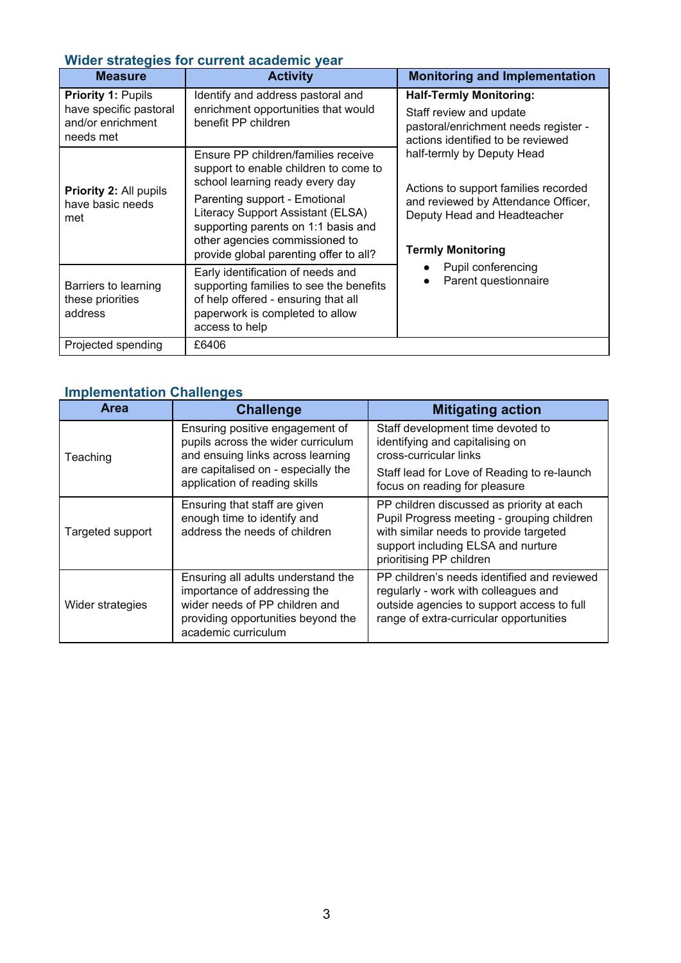#### **Wider strategies for current academic year**

| <b>Measure</b>                                                                        | <b>Activity</b>                                                                                                                                                                                                                                                                                          | <b>Monitoring and Implementation</b>                                                                                                                                 |
|---------------------------------------------------------------------------------------|----------------------------------------------------------------------------------------------------------------------------------------------------------------------------------------------------------------------------------------------------------------------------------------------------------|----------------------------------------------------------------------------------------------------------------------------------------------------------------------|
| <b>Priority 1: Pupils</b><br>have specific pastoral<br>and/or enrichment<br>needs met | Identify and address pastoral and<br>enrichment opportunities that would<br>benefit PP children                                                                                                                                                                                                          | <b>Half-Termly Monitoring:</b><br>Staff review and update<br>pastoral/enrichment needs register -<br>actions identified to be reviewed                               |
| <b>Priority 2: All pupils</b><br>have basic needs<br>met                              | Ensure PP children/families receive<br>support to enable children to come to<br>school learning ready every day<br>Parenting support - Emotional<br>Literacy Support Assistant (ELSA)<br>supporting parents on 1:1 basis and<br>other agencies commissioned to<br>provide global parenting offer to all? | half-termly by Deputy Head<br>Actions to support families recorded<br>and reviewed by Attendance Officer,<br>Deputy Head and Headteacher<br><b>Termly Monitoring</b> |
| Barriers to learning<br>these priorities<br>address                                   | Early identification of needs and<br>supporting families to see the benefits<br>of help offered - ensuring that all<br>paperwork is completed to allow<br>access to help                                                                                                                                 | Pupil conferencing<br>Parent questionnaire                                                                                                                           |
| Projected spending                                                                    | £6406                                                                                                                                                                                                                                                                                                    |                                                                                                                                                                      |

### **Implementation Challenges**

| <b>Area</b>      | <b>Challenge</b>                                                                                                                                                  | <b>Mitigating action</b>                                                                                                                                                                            |  |
|------------------|-------------------------------------------------------------------------------------------------------------------------------------------------------------------|-----------------------------------------------------------------------------------------------------------------------------------------------------------------------------------------------------|--|
| Teaching         | Ensuring positive engagement of<br>pupils across the wider curriculum<br>and ensuing links across learning                                                        | Staff development time devoted to<br>identifying and capitalising on<br>cross-curricular links                                                                                                      |  |
|                  | are capitalised on - especially the<br>application of reading skills                                                                                              | Staff lead for Love of Reading to re-launch<br>focus on reading for pleasure                                                                                                                        |  |
| Targeted support | Ensuring that staff are given<br>enough time to identify and<br>address the needs of children                                                                     | PP children discussed as priority at each<br>Pupil Progress meeting - grouping children<br>with similar needs to provide targeted<br>support including ELSA and nurture<br>prioritising PP children |  |
| Wider strategies | Ensuring all adults understand the<br>importance of addressing the<br>wider needs of PP children and<br>providing opportunities beyond the<br>academic curriculum | PP children's needs identified and reviewed<br>regularly - work with colleagues and<br>outside agencies to support access to full<br>range of extra-curricular opportunities                        |  |